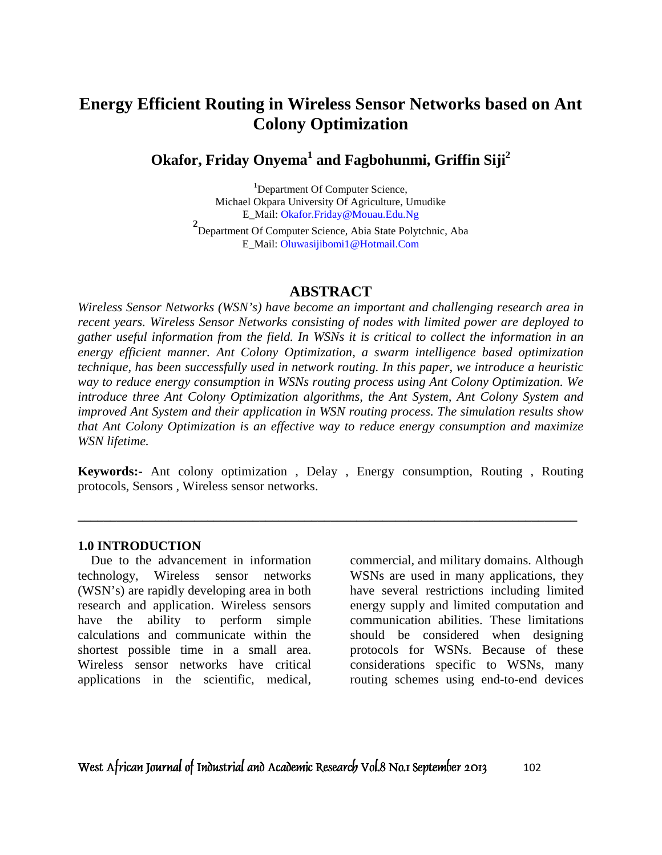# **Energy Efficient Routing in Wireless Sensor Networks based on Ant Colony Optimization**

## **Okafor, Friday Onyema<sup>1</sup> and Fagbohunmi, Griffin Siji<sup>2</sup>**

**<sup>1</sup>**Department Of Computer Science, Michael Okpara University Of Agriculture, Umudike E\_Mail: Okafor.Friday@Mouau.Edu.Ng

**2** Department Of Computer Science, Abia State Polytchnic, Aba E\_Mail: Oluwasijibomi1@Hotmail.Com

### **ABSTRACT**

*Wireless Sensor Networks (WSN's) have become an important and challenging research area in recent years. Wireless Sensor Networks consisting of nodes with limited power are deployed to gather useful information from the field. In WSNs it is critical to collect the information in an energy efficient manner. Ant Colony Optimization, a swarm intelligence based optimization technique, has been successfully used in network routing. In this paper, we introduce a heuristic way to reduce energy consumption in WSNs routing process using Ant Colony Optimization. We introduce three Ant Colony Optimization algorithms, the Ant System, Ant Colony System and improved Ant System and their application in WSN routing process. The simulation results show that Ant Colony Optimization is an effective way to reduce energy consumption and maximize WSN lifetime.* 

**Keywords:-** Ant colony optimization , Delay , Energy consumption, Routing , Routing protocols, Sensors , Wireless sensor networks.

**\_\_\_\_\_\_\_\_\_\_\_\_\_\_\_\_\_\_\_\_\_\_\_\_\_\_\_\_\_\_\_\_\_\_\_\_\_\_\_\_\_\_\_\_\_\_\_\_\_\_\_\_\_\_\_\_\_\_\_\_\_\_\_\_\_\_\_\_\_\_\_\_\_\_\_\_\_** 

#### **1.0 INTRODUCTION**

 Due to the advancement in information technology, Wireless sensor networks (WSN's) are rapidly developing area in both research and application. Wireless sensors have the ability to perform simple calculations and communicate within the shortest possible time in a small area. Wireless sensor networks have critical applications in the scientific, medical,

commercial, and military domains. Although WSNs are used in many applications, they have several restrictions including limited energy supply and limited computation and communication abilities. These limitations should be considered when designing protocols for WSNs. Because of these considerations specific to WSNs, many routing schemes using end-to-end devices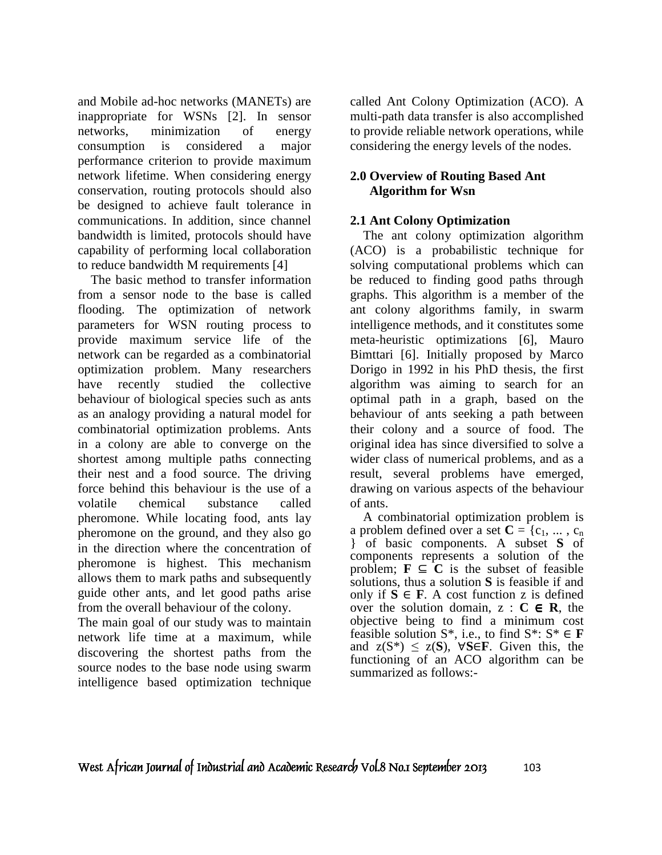and Mobile ad-hoc networks (MANETs) are inappropriate for WSNs [2]. In sensor networks, minimization of energy consumption is considered a major performance criterion to provide maximum network lifetime. When considering energy conservation, routing protocols should also be designed to achieve fault tolerance in communications. In addition, since channel bandwidth is limited, protocols should have capability of performing local collaboration to reduce bandwidth M requirements [4]

 The basic method to transfer information from a sensor node to the base is called flooding. The optimization of network parameters for WSN routing process to provide maximum service life of the network can be regarded as a combinatorial optimization problem. Many researchers have recently studied the collective behaviour of biological species such as ants as an analogy providing a natural model for combinatorial optimization problems. Ants in a colony are able to converge on the shortest among multiple paths connecting their nest and a food source. The driving force behind this behaviour is the use of a volatile chemical substance called pheromone. While locating food, ants lay pheromone on the ground, and they also go in the direction where the concentration of pheromone is highest. This mechanism allows them to mark paths and subsequently guide other ants, and let good paths arise from the overall behaviour of the colony.

The main goal of our study was to maintain network life time at a maximum, while discovering the shortest paths from the source nodes to the base node using swarm intelligence based optimization technique

called Ant Colony Optimization (ACO). A multi-path data transfer is also accomplished to provide reliable network operations, while considering the energy levels of the nodes.

## **2.0 Overview of Routing Based Ant Algorithm for Wsn**

## **2.1 Ant Colony Optimization**

 The ant colony optimization algorithm (ACO) is a probabilistic technique for solving computational problems which can be reduced to finding good paths through graphs. This algorithm is a member of the ant colony algorithms family, in swarm intelligence methods, and it constitutes some meta-heuristic optimizations [6], Mauro Bimttari [6]. Initially proposed by Marco Dorigo in 1992 in his PhD thesis, the first algorithm was aiming to search for an optimal path in a graph, based on the behaviour of ants seeking a path between their colony and a source of food. The original idea has since diversified to solve a wider class of numerical problems, and as a result, several problems have emerged, drawing on various aspects of the behaviour of ants.

 A combinatorial optimization problem is a problem defined over a set  $C = \{c_1, ..., c_n\}$ } of basic components. A subset **S** of components represents a solution of the problem;  $\mathbf{F} \subseteq \mathbf{C}$  is the subset of feasible solutions, thus a solution **S** is feasible if and only if  $S$  ∈ **F**. A cost function z is defined over the solution domain,  $z : C \in \mathbb{R}$ , the objective being to find a minimum cost feasible solution  $S^*$ , i.e., to find  $S^*$ :  $S^* \in \mathbf{F}$ and  $z(S^*) \leq z(S)$ ,  $\forall S \in F$ . Given this, the functioning of an ACO algorithm can be summarized as follows:-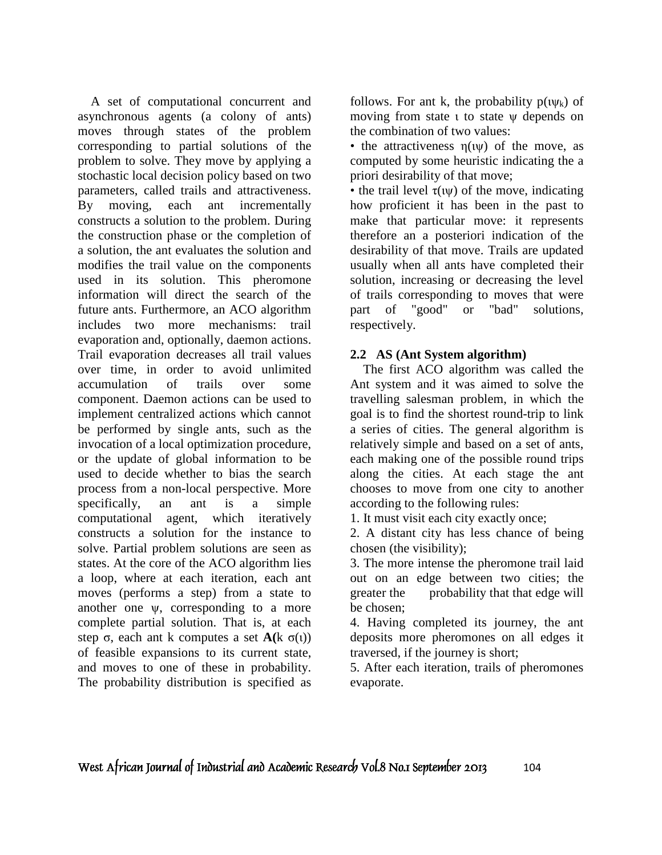A set of computational concurrent and asynchronous agents (a colony of ants) moves through states of the problem corresponding to partial solutions of the problem to solve. They move by applying a stochastic local decision policy based on two parameters, called trails and attractiveness. By moving, each ant incrementally constructs a solution to the problem. During the construction phase or the completion of a solution, the ant evaluates the solution and modifies the trail value on the components used in its solution. This pheromone information will direct the search of the future ants. Furthermore, an ACO algorithm includes two more mechanisms: trail evaporation and, optionally, daemon actions. Trail evaporation decreases all trail values over time, in order to avoid unlimited accumulation of trails over some component. Daemon actions can be used to implement centralized actions which cannot be performed by single ants, such as the invocation of a local optimization procedure, or the update of global information to be used to decide whether to bias the search process from a non-local perspective. More specifically, an ant is a simple computational agent, which iteratively constructs a solution for the instance to solve. Partial problem solutions are seen as states. At the core of the ACO algorithm lies a loop, where at each iteration, each ant moves (performs a step) from a state to another one ψ, corresponding to a more complete partial solution. That is, at each step  $\sigma$ , each ant k computes a set  $\mathbf{A}(\mathbf{k} \ \sigma(\mathbf{l}))$ of feasible expansions to its current state, and moves to one of these in probability. The probability distribution is specified as

follows. For ant k, the probability  $p(w_k)$  of moving from state *ι* to state *ψ* depends on the combination of two values:

• the attractiveness  $n(uv)$  of the move, as computed by some heuristic indicating the a priori desirability of that move;

• the trail level  $\tau(\psi)$  of the move, indicating how proficient it has been in the past to make that particular move: it represents therefore an a posteriori indication of the desirability of that move. Trails are updated usually when all ants have completed their solution, increasing or decreasing the level of trails corresponding to moves that were part of "good" or "bad" solutions, respectively.

### **2.2 AS (Ant System algorithm)**

 The first ACO algorithm was called the Ant system and it was aimed to solve the travelling salesman problem, in which the goal is to find the shortest round-trip to link a series of cities. The general algorithm is relatively simple and based on a set of ants, each making one of the possible round trips along the cities. At each stage the ant chooses to move from one city to another according to the following rules:

1. It must visit each city exactly once;

2. A distant city has less chance of being chosen (the visibility);

3. The more intense the pheromone trail laid out on an edge between two cities; the greater the probability that that edge will be chosen;

4. Having completed its journey, the ant deposits more pheromones on all edges it traversed, if the journey is short;

5. After each iteration, trails of pheromones evaporate.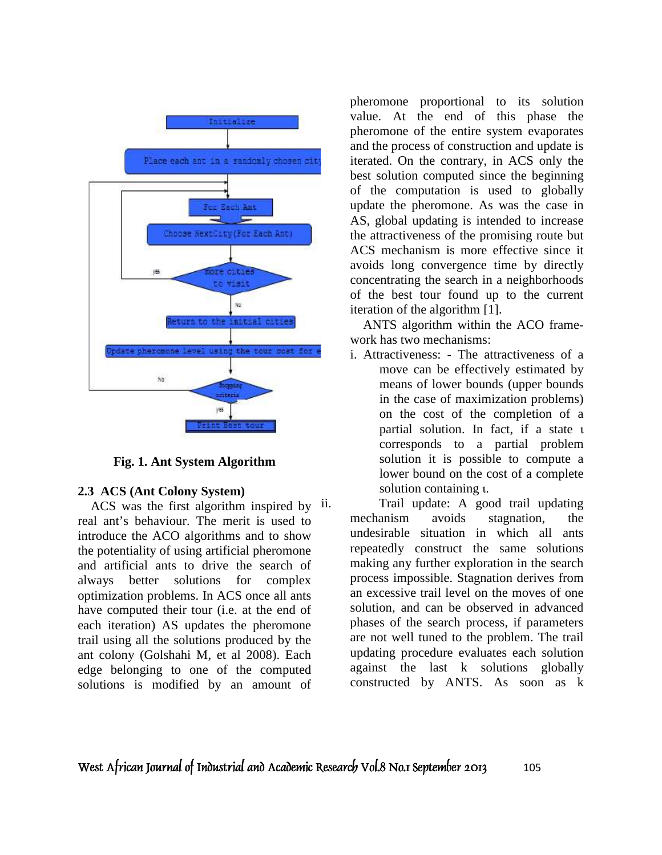

**Fig. 1. Ant System Algorithm**

#### **2.3 ACS (Ant Colony System)**

ACS was the first algorithm inspired by ii. real ant's behaviour. The merit is used to introduce the ACO algorithms and to show the potentiality of using artificial pheromone and artificial ants to drive the search of always better solutions for complex optimization problems. In ACS once all ants have computed their tour (i.e. at the end of each iteration) AS updates the pheromone trail using all the solutions produced by the ant colony (Golshahi M, et al 2008). Each edge belonging to one of the computed solutions is modified by an amount of

pheromone proportional to its solution value. At the end of this phase the pheromone of the entire system evaporates and the process of construction and update is iterated. On the contrary, in ACS only the best solution computed since the beginning of the computation is used to globally update the pheromone. As was the case in AS, global updating is intended to increase the attractiveness of the promising route but ACS mechanism is more effective since it avoids long convergence time by directly concentrating the search in a neighborhoods of the best tour found up to the current iteration of the algorithm [1].

 ANTS algorithm within the ACO framework has two mechanisms:

i. Attractiveness: - The attractiveness of a move can be effectively estimated by means of lower bounds (upper bounds in the case of maximization problems) on the cost of the completion of a partial solution. In fact, if a state ι corresponds to a partial problem solution it is possible to compute a lower bound on the cost of a complete solution containing ι.

Trail update: A good trail updating mechanism avoids stagnation, the undesirable situation in which all ants repeatedly construct the same solutions making any further exploration in the search process impossible. Stagnation derives from an excessive trail level on the moves of one solution, and can be observed in advanced phases of the search process, if parameters are not well tuned to the problem. The trail updating procedure evaluates each solution against the last k solutions globally constructed by ANTS. As soon as k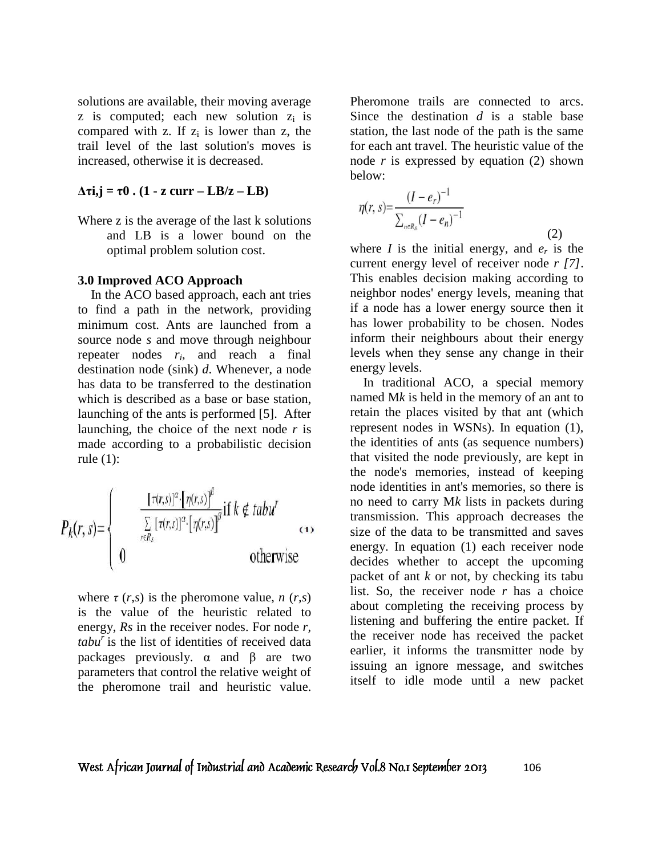solutions are available, their moving average  $z$  is computed; each new solution  $z_i$  is compared with z. If  $z_i$  is lower than z, the trail level of the last solution's moves is increased, otherwise it is decreased.

#### **∆τi,j = τ0 . (1 - z curr – LB/z – LB)**

Where z is the average of the last k solutions and LB is a lower bound on the optimal problem solution cost.

#### **3.0 Improved ACO Approach**

 In the ACO based approach, each ant tries to find a path in the network, providing minimum cost. Ants are launched from a source node *s* and move through neighbour repeater nodes *r<sup>i</sup>* , and reach a final destination node (sink) *d*. Whenever, a node has data to be transferred to the destination which is described as a base or base station, launching of the ants is performed [5]. After launching, the choice of the next node *r* is made according to a probabilistic decision rule (1):

$$
P_{k}(r,s) = \begin{cases} \frac{[\tau(r,s)]^{\alpha} \cdot [\eta(r,s)]^{\beta}}{\sum\limits_{r \in R_{s}} [\tau(r,s)]^{\alpha} \cdot [\eta(r,s)]^{\beta}} \text{if } k \notin tabu^{r} \\ 0 & \text{otherwise} \end{cases} \tag{4}
$$

where  $\tau(r,s)$  is the pheromone value,  $n(r,s)$ is the value of the heuristic related to energy, *Rs* in the receiver nodes. For node *r, tabu<sup>r</sup>*is the list of identities of received data packages previously. α and β are two parameters that control the relative weight of the pheromone trail and heuristic value.

Pheromone trails are connected to arcs. Since the destination *d* is a stable base station, the last node of the path is the same for each ant travel. The heuristic value of the node *r* is expressed by equation (2) shown below:

$$
\eta(r,s) = \frac{(I - e_r)^{-1}}{\sum_{n \in R_s} (I - e_n)^{-1}}
$$
\n(2)

where *I* is the initial energy, and  $e_r$  is the current energy level of receiver node *r [7]*. This enables decision making according to neighbor nodes' energy levels, meaning that if a node has a lower energy source then it has lower probability to be chosen. Nodes inform their neighbours about their energy levels when they sense any change in their energy levels.

 In traditional ACO, a special memory named M*k* is held in the memory of an ant to retain the places visited by that ant (which represent nodes in WSNs). In equation (1), the identities of ants (as sequence numbers) that visited the node previously, are kept in the node's memories, instead of keeping node identities in ant's memories, so there is no need to carry M*k* lists in packets during transmission. This approach decreases the size of the data to be transmitted and saves energy. In equation (1) each receiver node decides whether to accept the upcoming packet of ant *k* or not, by checking its tabu list. So, the receiver node *r* has a choice about completing the receiving process by listening and buffering the entire packet. If the receiver node has received the packet earlier, it informs the transmitter node by issuing an ignore message, and switches itself to idle mode until a new packet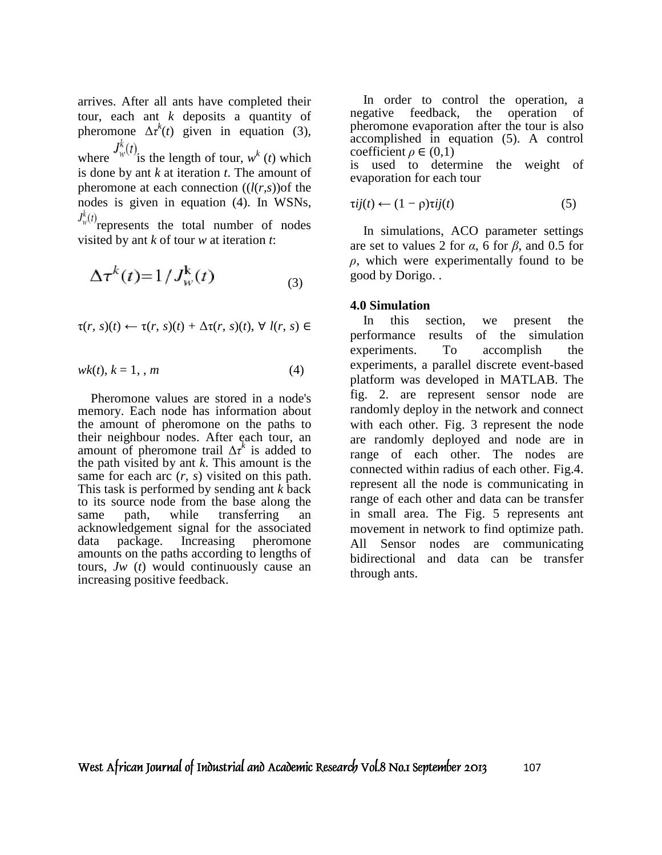arrives. After all ants have completed their tour, each ant *k* deposits a quantity of pheromone  $\Delta \tau^k(t)$  given in equation (3), where  $\int w(t)$  is the length of tour,  $w^k(t)$  which

is done by ant *k* at iteration *t*. The amount of pheromone at each connection  $((l(r,s))$ of the nodes is given in equation (4). In WSNs,

 $J_w^k(t)$  represents the total number of nodes visited by ant *k* of tour *w* at iteration *t*:

$$
\Delta \tau^k(t) = 1/J_w^k(t) \tag{3}
$$

$$
\tau(r, s)(t) \leftarrow \tau(r, s)(t) + \Delta \tau(r, s)(t), \forall l(r, s) \in
$$

$$
wk(t), k = 1, , m \tag{4}
$$

 Pheromone values are stored in a node's memory. Each node has information about the amount of pheromone on the paths to their neighbour nodes. After each tour, an amount of pheromone trail  $\Delta \tau^k$  is added to the path visited by ant *k*. This amount is the same for each arc (*r, s*) visited on this path. This task is performed by sending ant *k* back to its source node from the base along the same path, while transferring an acknowledgement signal for the associated data package. Increasing pheromone amounts on the paths according to lengths of tours, *Jw* (*t*) would continuously cause an increasing positive feedback.

 In order to control the operation, a negative feedback, the operation of pheromone evaporation after the tour is also accomplished in equation (5). A control coefficient  $\rho \in (0,1)$ is used to determine the weight of

$$
\tau ij(t) \leftarrow (1 - \rho)\tau ij(t) \tag{5}
$$

 In simulations, ACO parameter settings are set to values 2 for  $\alpha$ , 6 for  $\beta$ , and 0.5 for *ρ*, which were experimentally found to be good by Dorigo. .

#### **4.0 Simulation**

evaporation for each tour

 In this section, we present the performance results of the simulation experiments. To accomplish the experiments, a parallel discrete event-based platform was developed in MATLAB. The fig. 2. are represent sensor node are randomly deploy in the network and connect with each other. Fig. 3 represent the node are randomly deployed and node are in range of each other. The nodes are connected within radius of each other. Fig.4. represent all the node is communicating in range of each other and data can be transfer in small area. The Fig. 5 represents ant movement in network to find optimize path. All Sensor nodes are communicating bidirectional and data can be transfer through ants.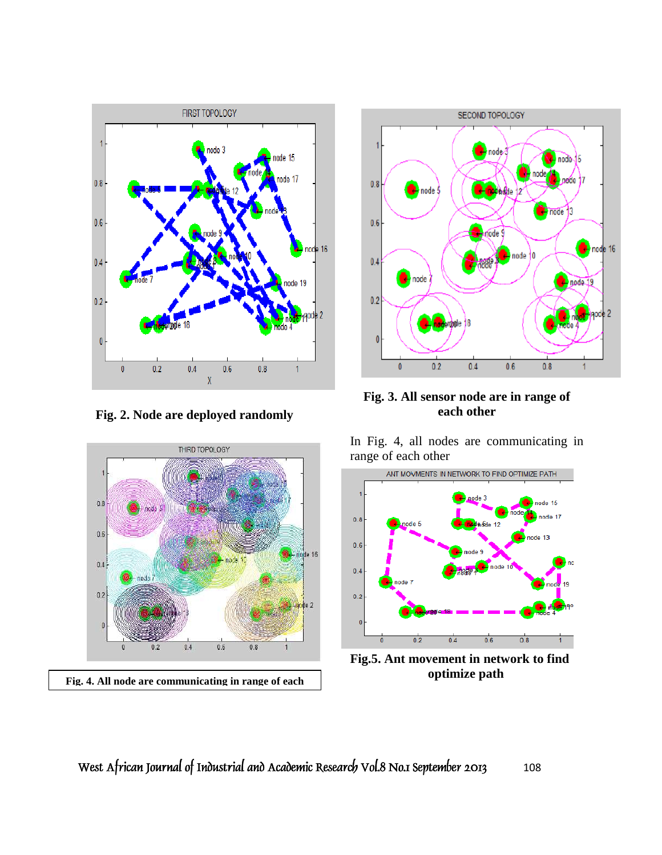

**Fig. 2. Node are deployed randomly** 





**Fig. 3. All sensor node are in range of each other** 

In Fig. 4, all nodes are communicating in range of each other



**Fig.5. Ant movement in network to find**